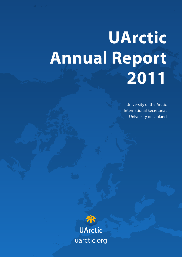# **UArctic Annual Report 2011**

University of the Arctic International Secretariat University of Lapland

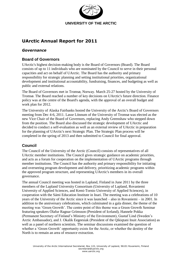

# **UArctic Annual Report for 2011**

# *Governance*

## **Board of Governors**

UArctic's highest decision-making body is the Board of Governors (Board). The Board consists of up to 11 individuals who are nominated by the Council to serve in their personal capacities and act on behalf of UArctic. The Board has the authority and primary responsibility for strategic planning and setting institutional priorities, organizational development and institutional accountability, fundraising, finances, and budgeting as well as public and external relations.

The Board of Governors met in Tromsø, Norway. March 25-27 hosted by the University of Tromsø. The Board reached a number of key decisions on UArctic's future direction. Finance policy was at the centre of the Board's agenda, with the approval of an overall budget and work plan for 2012.

The University of Alaska Fairbanks hosted the University of the Arctic's Board of Governors meeting from Dec 4-6, 2011. Lasse Lönnum of the University of Tromsø was elected as the new Vice Chair of the Board of Governors, replacing Andy Greenshaw who stepped down from the position. The Board also discussed the strategic development of UArctic and decided to conduct a self-evaluation as well as an external review of UArctic in preparation for the planning of UArctic's next Strategic Plan. The Strategic Plan process will be completed in the spring of 2013 and then submitted to Council for final approval.

# **Council**

The Council of the University of the Arctic (Council) consists of representatives of all UArctic member institutions. The Council gives strategic guidance on academic priorities, and acts as a forum for cooperation on the implementation of UArctic programs through member institutions. The Council has the authority and primary responsibility for initiating and overseeing program development and delivery, prioritizing academic programs within the approved program structure, and representing UArctic's members in its overall governance.

The annual Council meeting was hosted in Lapland, Finland in June 2011 by the three members of the Lapland University Consortium (University of Lapland, Rovaniemi University of Applied Sciences, and Kemi-Tornio University of Applied Sciences), in cooperation with the Sámi Education Institute in Inari. The meeting was a celebrations of 10 years of the University of the Arctic since it was launched – also in Rovaniemi – in 2001. In addition to the anniversary celebrations, which culminated in a gala dinner, the theme of the meeting was 'Green Growth'. The centre point of this theme was a Green Growth Seminar featuring speakers Ólafur Ragnar Grímsson (President of Iceland), Hannele Pokka (Permanent Secretary of Finland's Ministry of the Environment), Gustaf Lind (Sweden's Arctic Ambassador), and J. Okalik Eegeesiak (President of the Qikiqtani Inuit Association) as well as a panel of northern scientists. The seminar discussions examined the question of whether a 'Green Growth' opportunity exists for the Arctic, or whether the destiny of the North is to remain an area of resource extraction.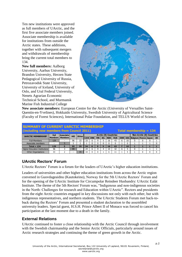Ten new institutions were approved as full members of UArctic, and the first five associate members joined. Associate membership is available for institutions from outside the Arctic states. These additions, together with subsequent mergers and withdrawals of membership bring the current total members to 134.

**New full members:** Aalborg University, Aarhus University, Brandon University, Herzen State Pedagogical University of Russia, Petrozavodsk State University, University of Iceland, University of Oslo, and Ural Federal University, Nenets Agrarian Economic Technical School, and Murmansk Marine Fish Industrial College



**New associate members:** European Centre for the Arctic (University of Versailles Saint-Quentin-en-Yvelines), Hokkaido University, Swedish University of Agricultural Science (Faculty of Forest Sciences), International Polar Foundation, and TELUS World of Science.

| <b>SUMMARY OF CURRENT UARCTIC MEMBERSHIP</b><br>(including new members from Council 2011)<br>Total membership $= 134$ |             |                            |            |              |            |            |            |            |                             |            |   |    |                              |                          |  |           |
|-----------------------------------------------------------------------------------------------------------------------|-------------|----------------------------|------------|--------------|------------|------------|------------|------------|-----------------------------|------------|---|----|------------------------------|--------------------------|--|-----------|
| <b>UARCTIC MEMBERSHIP</b>                                                                                             | <b>Full</b> | Associatel                 | <b>HEI</b> | <b>Other</b> |            |            |            |            | <b>Arctic (8) Countries</b> |            |   |    |                              | Non-Arctic (8) Countries |  |           |
|                                                                                                                       |             | <b>Members   Members  </b> |            |              | <b>CAN</b> | <b>DNK</b> | <b>FIN</b> | <b>ISL</b> | <b>NOR</b>                  | <b>RUS</b> |   |    | SWE USA Belgium France Japan |                          |  | <b>UK</b> |
| <b>Full-Members</b>                                                                                                   | 129         |                            | 96         | 33           | 33         | 6          |            |            | 16                          | 43         | 6 | 10 |                              |                          |  |           |
| Associate members                                                                                                     |             |                            |            |              |            |            |            |            |                             |            |   |    |                              |                          |  |           |
| $Total = 134$                                                                                                         | 129         |                            | 99         | 35           | 34         | 6          |            | 5          | 16                          | 43         |   | 10 |                              |                          |  |           |
| Higher Education Institutions                                                                                         | 96          |                            | 99         | -            | 24         | 6          |            |            | 10                          | 32         | 6 |    |                              |                          |  |           |
| <b>Other Organisations</b>                                                                                            | 33          |                            |            | 35           | 10         |            |            |            | h                           | 11         |   |    |                              |                          |  |           |
|                                                                                                                       |             |                            |            |              |            |            |            |            |                             |            |   |    |                              |                          |  |           |

# **UArctic Rectors' Forum**

UArctic Rectors' Forum is a forum for the leaders of UArctic's higher education institutions.

Leaders of universities and other higher education institutions from across the Arctic region convened in Guovdageaidnu (Kautokeino), Norway for the 5th UArctic Rectors' Forum and for the opening of the UArctic Institute for Circumpolar Reindeer Husbandry: UArctic Ealát Institute. The theme of the 5th Rectors' Forum was, "Indigenous and non-indigenous societies in the North: Challenges for research and Education within UArctic". Rectors and presidents from the eight Arctic countries engaged in key discussions not only with each other, but with indigenous representatives, and northern students. The UArctic Students Forum met back-toback during the Rectors' Forum and presented a student declaration to the assembled university leaders. Special guest, H.S.H. Prince Albert II of Monaco was forced to cancel his participation at the last moment due to a death in the family.

# **External Relations**

UArctic continued to foster a close relationship with the Arctic Council through involvement with the Swedish chairmanship and the Senior Arctic Officials, particularly around issues of Arctic research strategies and continuing the theme of green growth in the Arctic.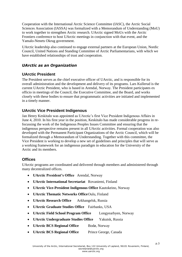Cooperation with the International Arctic Science Committee (IASC), the Arctic Social Sciences Association (IASSA) was formalized with a Memorandum of Understanding (MoU) to work together to strengthen Arctic research. UArctic signed MoUs with the Arctic Frontiers conference to host UArctic meetings in conjunction with that event, and the Yamalo-Nenets Okrug government.

UArctic leadership also continued to engage external partners at the European Union, Nordic Council, United Nations and Standing Committee of Arctic Parliamentarians, with which we have established relationships of trust and cooperation.

# *UArctic as an Organization*

# **UArctic President**

The President serves as the chief executive officer of UArctic, and is responsible for its overall administration and the development and delivery of its programs. Lars Kullerud is the current UArctic President, who is based in Arendal, Norway. The President participates ex officio in meetings of the Council, the Executive Committee, and the Board, and works closely with these bodies to ensure that programmatic activities are initiated and implemented in a timely manner.

# **UArctic Vice President Indigenous**

Jan Henry Keskitalo was appointed as UArctic's first Vice President Indigenous Affairs in June 4, 2010. In his first year in the position, Keskitalo has made considerable progress in refocussing the work of the Indigenous Peoples Issues Committee and ensuring that the indigenous perspective remains present in all UArctic activities. Formal cooperation was also developed with the Permanent Participant Organizations of the Arctic Council, which will be formalized through a Memorandum of Understanding. Together with this committee, the Vice President is working to develop a new set of guidelines and principles that will serve as a working framework for an indigenous paradigm in education for the University of the Arctic and its members.

# **Offices**

UArctic programs are coordinated and delivered through members and administered through many decentralized offices.

- **UArctic President's Office** Arendal, Norway
- **UArctic International Secretariat** Rovaniemi, Finland
- **UArctic Vice-President Indigenous Office** Kautokeino, Norway
- **UArctic Thematic Networks Office**Oulu, Finland
- **UArctic Research Office** Arkhangelsk, Russia
- **UArctic Graduate Studies Office** Fairbanks, USA
- **UArctic Field School Program Office** Longyearbyen, Norway
- **UArctic Undergraduate Studies Office** Yakutsk, Russia
- **UArctic BCS Regional Office** Bodø, Norway
- **UArctic BCS Regional Office** Prince George, Canada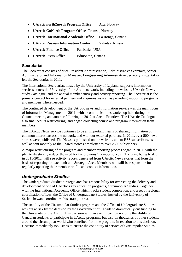- **UArctic north2north Program Office** Alta, Norway
- **UArctic GoNorth Program Office** Tromsø, Norway
- **UArctic International Academic Office** La Ronge, Canada
- **UArctic Russian Information Center** Yakutsk, Russia
- **UArctic Finance Office** Fairbanks, USA
- **UArctic Press Office** Edmonton, Canada

# **Secretariat**

The Secretariat consists of Vice President Administration, Administrative Secretary, Senior Administrator and Information Manager. Long-serving Administrative Secretary Riitta Aikio left the Secretariat in 2011.

The International Secretariat, hosted by the University of Lapland, supports information services across the University of the Arctic network, including the website, UArctic News, study Catalogue, and the annual member survey and activity reporting. The Secretariat is the primary contact for external partners and enquiries, as well as providing support to programs and members where needed.

The continued development of the UArctic news and information service was the main focus of Information Management in 2011, with a communications workshop held during the Council meeting and another following in 2012 at Arctic Frontiers. The UArctic Catalogue also finalized its restructuring, and began collecting course and program information from members.

The UArctic News service continues to be an important means of sharing information of common interest across the network, and with our external partners. In 2011, over 500 news stories were published. The News is published on the website, and to RSS subscribers, as well as sent monthly as the Shared Voices newsletter to over 2600 subscribers.

A major restructuring of the program and member reporting process began in 2011, with the plan to drastically reduce the need for the previous 'member survey'. The plan, being trialed in 2011-2012, will see activity reports generated from UArctic News stories that form the basis of reporting for each unit and Strategic Area. Members will still be responsible for regularly updating their member profile and contact information.

# *Undergraduate Studies*

The Undergraduate Studies strategic area has responsibility for overseeing the delivery and development of one of UArctic's key education programs, Circumpolar Studies. Together with the International Academic Office which tracks student completion, and a set of regional coordination offices, the Office of Undergraduate Studies, hosted by the University of Saskatchewan, coordinates this strategic area.

The stability of the Circumpolar Studies program and the Office of Undergraduate Studies was put at risk by the decision by the Government of Canada to dramatically cut funding to the University of the Arctic. This decision will have an impact on not only the ability of Canadian students to participate in UArctic programs, but also on thousands of other students around the circumpolar world who benefited from the program. In reaction to this decision, UArctic immediately took steps to ensure the continuity of service of Circumpolar Studies.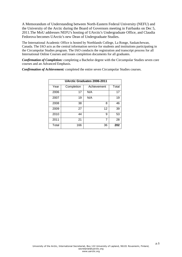A Memorandum of Understanding between North-Eastern Federal University (NEFU) and the University of the Arctic during the Board of Governors meeting in Fairbanks on Dec 5, 2011.The MoU addresses NEFU's hosting of UArctic's Undergraduate Office, and Claudia Fedorova becomes UArctic's new Dean of Undergraduate Studies.

The International Academic Office is hosted by Northlands College, La Ronge, Saskatchewan, Canada. The IAO acts as the central information service for students and institutions participating in the Circumpolar Studies program. The IAO conducts the registration and transcript process for all International Online Courses and issues completion documents for all graduates.

*Confirmation of Completion:* completing a Bachelor degree with the Circumpolar Studies seven core courses and an Advanced Emphasis.

| <b>UArctic Graduates 2006-2011</b> |            |             |       |  |  |  |  |  |  |  |
|------------------------------------|------------|-------------|-------|--|--|--|--|--|--|--|
| Year                               | Completion | Achievement | Total |  |  |  |  |  |  |  |
| 2006                               | 17         | N/A         | 17    |  |  |  |  |  |  |  |
| 2007                               | 19         | N/A         | 19    |  |  |  |  |  |  |  |
| 2008                               | 38         | 8           | 46    |  |  |  |  |  |  |  |
| 2009                               | 27         | 12          | 39    |  |  |  |  |  |  |  |
| 2010                               | 44         | 9           | 53    |  |  |  |  |  |  |  |
| 2011                               | 21         | 7           | 28    |  |  |  |  |  |  |  |
| Total                              | 166        | 36          | 202   |  |  |  |  |  |  |  |

*Confirmation of Achievement:* completed the entire seven Circumpolar Studies courses.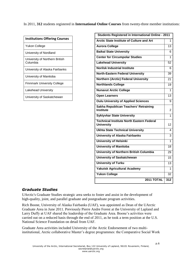In 2011, **312** students registered in **International Online Courses** from twenty-three member institutions:

| Yukon College<br>University of Nordland<br>University of Northern British<br>Columbia<br>University of Alaska Fairbanks<br>University of Manitoba<br><b>Finnmark University College</b><br>Lakehead University<br>University of Saskatchewan |
|----------------------------------------------------------------------------------------------------------------------------------------------------------------------------------------------------------------------------------------------|
|                                                                                                                                                                                                                                              |
|                                                                                                                                                                                                                                              |
|                                                                                                                                                                                                                                              |
|                                                                                                                                                                                                                                              |
|                                                                                                                                                                                                                                              |
|                                                                                                                                                                                                                                              |
|                                                                                                                                                                                                                                              |
|                                                                                                                                                                                                                                              |

| Students Registered in International Online - 2011                    |                  |
|-----------------------------------------------------------------------|------------------|
| <b>Arctic State Institute of Culture and Art</b>                      | 1                |
| <b>Aurora College</b>                                                 | 13               |
| <b>Baikal State University</b>                                        | 6                |
| <b>Center for Circumpolar Studies</b>                                 | 1                |
| <b>Lakehead University</b>                                            | 52               |
| <b>Norilsk Industrial Institute</b>                                   | 6                |
| <b>North-Eastern Federal University</b>                               | 39               |
| Northern (Arctic) Federal University                                  | 21               |
| <b>Northlands College</b>                                             | 19               |
| <b>Nunavut Arctic College</b>                                         | 1                |
| <b>Open Learners</b>                                                  | 13               |
| <b>Oulu University of Applied Sciences</b>                            | 9                |
| Sakha Republican Teachers' Retraining<br>Institute                    | 2                |
| <b>Syktyvkar State University</b>                                     | 1                |
| <b>Technical Institute North Eastern Federal</b><br><b>University</b> | 12               |
| <b>Ukhta State Technical University</b>                               | 4                |
| <b>University of Alaska Fairbanks</b>                                 | 3                |
| University of Helsinki                                                | 1                |
| <b>University of Manitoba</b>                                         | 18               |
| University of Northern British Columbia                               | 29               |
| <b>University of Saskatchewan</b>                                     | 15               |
| <b>University of Turku</b>                                            | 13               |
| <b>Yakutsk Agricultural Academy</b>                                   | 1                |
| <b>Yukon College</b>                                                  | 32               |
| 2011 TOTAL                                                            | $\overline{312}$ |

## *Graduate Studies*

UArctic's Graduate Studies strategic area seeks to foster and assist in the development of high-quality, joint, and parallel graduate and postgraduate program activities.

Rich Boone, University of Alaska Fairbanks (UAF), was appointed as Dean of the UArctic Graduate Area in June 2011. Previously Pierre Andre Forest at the University of Lapland and Larry Duffy at UAF shared the leadership of the Graduate Area. Boone's activities were carried out on a reduced basis through the end of 2011, as he took a term position at the U.S. National Science Foundation on detail from UAF.

Graduate Area activities included University of the Arctic Endorsement of two multiinstitutional, Arctic collaborative Master's degree programmes: the Comparative Social Work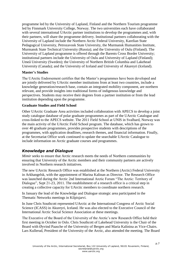programme led by the University of Lapland, Finland and the Northern Tourism programme led by Finnmark University College, Norway. The two universities each have collaborated with several international UArctic partner institutions to develop the programmes and, with their partners, will share the programme delivery. Institutional partners collaborating with the University of Lapland include the Northern Arctic Federal University, Karelian State Pedagogical University, Petrozavosk State University, the Murmansk Humanities Institute, Murmansk State Technical University (Russia); and the University of Oulu (Finland). The University of Lapland programme is offered through the Barents Cross Border University; institutional partners include the University of Oulu and University of Lapland (Finland); Umeå University (Sweden); the University of Northern British Columbia and Lakehead University (Canada); and the University of Iceland and University of Akureyri (Iceland).

#### **Master's Studies**

The UArctic Endorsement certifies that the Master's programmes have been developed and are jointly delivered by UArctic member institutions from at least two countries, include a knowledge generation/research base, contain an integrated mobility component, are northern relevant, and provide insights into traditional forms of indigenous knowledge and perspectives. Students may receive their degrees from a partner institution or from the lead institution depending upon the programme.

#### **Graduate Studies and Field School**

Other UArctic Graduate Area activities included collaboration with APECS to develop a joint study catalogue database of polar graduate programmes as part of the UArctic Catalogue and cross-linked to the APECS website. The 2011 Field School at UNIS in Svalbard, Norway was the main activity of the UArctic Field School program. The database, which has grown to over 40 graduate programmes, provides prospective students with descriptions of the programmes, with application deadlines, research themes, and financial information. Finally, at the Secretariat Office work continued to update the searchable UArctic Catalogue to include information on Arctic graduate courses and programmes.

# *Knowledge and Dialogue*

*Mimir* seeks to ensure that Arctic research meets the needs of Northern communities by ensuring that University of the Arctic members and their community partners are actively involved in Northern research initiatives.

The new UArctic Research Office was established at the Northern (Arctic) Federal University in Arkhangelsk, with the appointment of Marina Kalinan as Director. The Research Office was launched during the Arctic 2nd International Arctic Forum "The Arctic: Territory of Dialogue", Sept 21-23, 2011. The establishment of a research office is a critical step in creating a collective capacity for UArctic members to coordinate northern research.

In January the lead of the Knowledge and Dialogue strategic area participated in the Thematic Networks meetings in Kilpisjarvi.

In June Chris Southcott represented UArctic at the International Congress of Arctic Social Science (ICASS) in Akureyri, Iceland. He was also elected to the Executive Council of the International Arctic Social Science Association at these meetings.

The Executive of the Board of the University of the Arctic's new Research Office held their first meeting in October in Oslo. Chris Southcott of Lakehead University is the Chair of the Board with Øyvind Paasche of the University of Bergen and Maria Kalinina as Vice-Chairs. Lars Kullerud, President of the University of the Arctic, also attended the meeting. The Board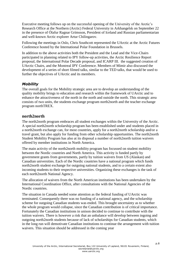Executive meeting follows up on the successful opening of the University of the Arctic's Research Office at the Northern (Arctic) Federal University in Arkhangelsk on September 22 in the presence of Ólafur Ragnar Grímsson, President of Iceland and Russian parliamentarian and well-known Arctic explorer Artur Chilingarov.

Following the meetings in Oslo, Chris Southcott represented the UArctic at the Arctic Futures Conference hosted by the International Polar Foundation in Brussels.

In addition to the above activities both the President and the Lead and the Vice-Chairs participated in planning related to IPY follow-up activities, the Arctic Resilience Report proposal, the International Polar Decade proposal, and ICARP III. the suggested creation of UArctic Chairs, and the Montreal IPY Conference. Members of Mimir also discussed the development of a series of short filmed talks, similar to the TED talks, that would be used to further the objectives of UArctic and its members.

## *Mobility*

The overall goals for the Mobility strategic area are to develop an understanding of the quality mobility brings to education and research within the framework of UArctic and to enhance the attractiveness of the north in the north and outside the north. This strategic area consists of two units, the students exchange program north2north and the teacher exchange program northTREX.

## **north2north**

The north2north program embraces all student exchanges within the University of the Arctic. A special north2north scholarship program has been established under and students placed in a north2north exchange can, for most countries, apply for a north2north scholarship and/or a travel grant, but also apply for funding from other scholarship opportunities. The north2north Student Mobility Program has also at its disposal a number of north2north tuition waivers offered by member institutions in North America.

The main activity of the north2north mobility program has focussed on student mobility between the Nordic countries and North America. This activity is funded partly by government grants from governments, partly by tuition waivers from US (Alaskan) and Canadian universities. Each of the Nordic countries have a national program which funds north2north student exchange for outgoing national students, and to a certain extent also incoming students to their respective universities. Organizing these exchanges is the task of each north2north National Agency.

The allocation of waivers from the North American institutions has been undertaken by the International Coordination Office, after consultations with the National Agencies of the Nordic countries.

The situation in Canada needed some attention as the federal funding of UArctic was terminated. Consequently there was no funding of a national agency, and the scholarship scheme for outgoing Canadian students was ended. This brought uncertainty as to whether the whole program would collapse, since the Canadian contribution is of critical importance. Fortunately the Canadian institutions in unison decided to continue to contribute with the tuition waivers. There is however a risk that an unbalance will develop between ingoing and outgoing north2north students because of lack of scholarships for Canadian students, which in the long run will demotivate Canadian institutions to continue the arrangement with tuition waivers. This situation should be addressed in the coming year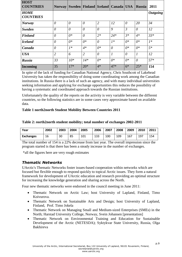| <b>HOST</b><br><b>COUNTRIES</b> | Norway         |          | Sweden   Finland   Iceland   Canada   USA |                |               |       | Russia           | 2011            |
|---------------------------------|----------------|----------|-------------------------------------------|----------------|---------------|-------|------------------|-----------------|
| <b>HOME</b><br><b>COUNTRIES</b> |                |          |                                           |                |               |       |                  | <b>Outgoing</b> |
| <b>Norway</b>                   | $\theta$       | $\theta$ | $\theta$                                  | $\overline{2}$ | 12            | 0     | 20               | 34              |
| <b>Sweden</b>                   | $\theta$       | $\theta$ | $\theta$                                  | $\theta$       | 9             | 3     | $\theta$         | 12              |
| <b>Finland</b>                  | $\theta$       | $0^*$    | $\theta$                                  | $2*$           | $24*$         | $3*$  | $4*$             | $33*$           |
| <b>Iceland</b>                  | $\theta$       | $0^*$    | $0^*$                                     | $\theta$       | $1*$          | $0^*$ | $0^*$            | $1*$            |
| Canada                          | $\theta$       | $1*$     | $4*$                                      | $0^*$          | $\theta$      | $0^*$ | $0^*$            | $5*$            |
| <b>USA</b>                      | $\overline{2}$ | 6        | $\overline{2}$                            | $\theta$       | $\mathcal{I}$ | 0     | $\boldsymbol{l}$ | 12              |
| Russia                          | 33             | $10*$    | $14*$                                     | $0^*$          | $0^*$         | $0^*$ | $\theta$         | $57*$           |
| Incoming                        | 35             | $17*$    | $20*$                                     | $4*$           | $47*$         | $6*$  | $25*$            | 154             |

In spite of the lack of funding for Canadian National Agency, Chris Southcott of Lakehead University has taken the responsibility of doing some coordinating work among the Canadian institutions. In Russia there is a lack of such an agency, and with many individual universities seeking information and applying for exchange opportunities this reduces the possibility of having a systematic and coordinated approach towards the Russian institutions.

Unfortunately the quality of the reports on the activity is very variable between the different countries, so the following statistics are in some cases very approximate based on available data.

#### **Table 1 north2north Student Mobility Between Countries 2011**

#### **Table 2:** *n***orth2north student mobility; total number of exchanges 2002-2011**

| Year             | 2002 | 2003 | 2004 | 2005 | 2006 | 2007 | 2008 | 2009 | 2010 | 2011 |
|------------------|------|------|------|------|------|------|------|------|------|------|
| <b>Exchanges</b> | 16   | 30   | 85   | 101  | 133  | 100  | 109  | 167  | 197  | 154  |

The total number of 154 is a 22% decrease from last year. The overall impression since the program started is that there has been a steady increase in the number of exchanges.

\*all the figures here are very rough estimates

## *Thematic Networks*

UArctic's Thematic Networks foster issues-based cooperation within networks which are focused but flexible enough to respond quickly to topical Arctic issues. They form a natural framework for development of UArctic education and research providing an optimal structure for increasing the knowledge generation and sharing across the North.

Four new thematic networks were endorsed in the council meeting in June 2011:

- Thematic Network on Arctic Law; host University of Lapland, Finland, Timo Koivurova.
- Thematic Network on Sustainable Arts and Design; host University of Lapland, Finland, Prof. Timo Jokela
- Thematic Network on Managing Small and Medium-sized Enterprises (SMEs) in the North; Harstad University College, Norway, Svein Johansen [presentation]
- Thematic Network on Environmental Training and Education for Sustainable Development of the Arctic (NETESDA); Syktykvar State University, Russia, Olga Bakhireva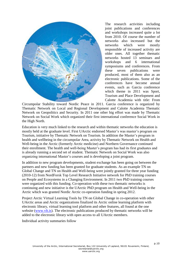

The research activities including joint publications and conferences and workshops increased quite a lot from 2010. Of course the number of networks also increased but the networks which were mostly responsible of increased activity are older ones. All together thematic networks hosted 13 seminars and workshops and 6 international symposiums and conferences. From these seven publications were produced, most of them also as an electronic publications. Some of the conferences have become annual events, such as Garcia conference which theme in 2011 was Sport, Tourism and Place Development and Calotte Academia with title: From

Circumpolar Stability toward Nordic Peace in 2011. Garcia conference is organized by Thematic Network on Local and Regional Development and Calotte Academia Thematic Network on Geopolitics and Security. In 2011 one other big effort was made by Thematic Network on Social Work which organized their first international conference Social Work in the High North.

Education is very much linked to the research and within thematic networks the education is mostly held at the graduate level. First UArctic endorsed Master's was master's program on Tourism, initiative by Thematic Network on Tourism. In addition the Master's program in health and wellbeing in the circumpolar Area, activity by Thematic Network on Health and Well-being in the Arctic (formerly Arctic medicine) and Northern Governance continued their enrollment. The health and well-being Master's program has had its first graduates and is already running a second set of student. Thematic Network on Social Work was also organizing international Master's courses and is developing a joint program.

In addition to new program developments, student exchange has been going on between the partners and new funding has been granted for graduate students. As an example TN on Global Change and TN on Health and Well-being were jointly granted for three year funding (2010-12) from NordForsk Top Level Research Initiative network for PhD training courses on People and Ecosystems in a Changing Environment. In 2011 two PhD training courses were organized with this funding. Co-operation with these two thematic networks is continuing and new initiative is the UArctic PhD program on Health and Well-being in the Arctic which was granted Nordic Arctic co-operation funding in spring 2012.

Project Arctic Virtual Learning Tools by TN on Global Change in co-operation with other UArctic areas and Arctic organizations finalized its Arctic online learning platform with electronic library, virtual learning tool platform and other features, all found at the one website [\(www.vlt.is\)](http://www.vlt.is/). The electronic publications produced by thematic networks will be added to the electronic library with open access to all UArctic members.

Individual activity summaries follow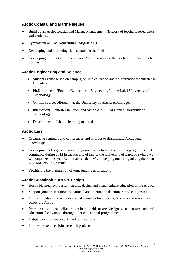# **Arctic Coastal and Marine Issues**

- Build up an Arctic Coastal and Marine Management Network of teachers, researchers and students.
- Symposium on Cod Aquaculture, August 2011
- Developing and marketing field schools in the field
- Developing a study kit on Coastal and Marine issues for the Bachelor of Circumpolar **Studies**

# **Arctic Engineering and Science**

- Student exchange via on campus, on-line education and/or international semester in **Greenland**
- Ph.D. course in "Frost in Geotechnical Engineering" at the Luleå University of Technology
- On-line courses offered in at the University of Alaska Anchorage:
- International Semester in Greenland by the ARTEK of Danish University of Technology
- Development of shared learning materials

# **Arctic Law**

- Organizing seminars and conferences and in order to disseminate Arctic legal knowledge.
- Development of legal education programmes, including the masters programme that will commence during 2012 in the Faculty of law of the University of Lapland (where we will organize the specialisation on Arctic law) and helping out in organizing the Polar Law Masters Programme
- Facilitating the preparation of joint funding applications.

# **Arctic Sustainable Arts & Design**

- Host a biannual symposium on arts, design and visual culture education in the Arctic;
- Support joint presentations at national and international seminars and congresses
- Initiate collaborative workshops and seminars for students, teachers and researchers across the Arctic
- Promote educational collaboration in the fields of arts, design, visual culture and craft education, for example through joint educational programmes
- Instigate exhibitions, events and publications
- Initiate and oversee joint research projects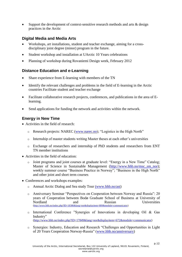Support the development of context-sensitive research methods and arts & design practices in the Arctic

# **Digital Media and Media Arts**

- Workshops, art installations, student and teacher exchange, aiming for a crossdisciplinary joint degree (minor) program in the future.
- Student workshop and installation at UArctic 10 Years celebrations
- Planning of workshop during Rovaniemi Design week, February 2012

# **Distance Education and e-Learning**

- Share experience from E-learning with members of the TN
- Identify the relevant challenges and problems in the field of E-learning in the Arctic countries Facilitate student and teacher exchange
- Facilitate collaborative research projects, conferences, and publications in the area of Elearning.
- Send applications for funding the network and activities within the network.

# **Energy in New Time**

- Activities in the field of research:
	- o Research projects: NAREC [\(www.narec.no\)](http://www.narec.no/); "Logistics in the High North"
	- $\circ$  Internship of master students writing Master theses at each other's universities
	- o Exchange of researchers and internship of PhD students and researchers from ENT TN member institutions
- Activities in the field of education:
	- o Joint programs and joint courses at graduate level: "Energy in a New Time" Catalog; Master of Science in Sustainable Management [\(http://www.hhb.no/msc\\_sm\\_nor\)](http://www.hhb.no/msc_sm_nor); weekly summer course "Business Practice in Norway"; "Business in the High North" and other joint and short term courses
- Conferences and workshops examples:
	- o Annual Arctic Dialog and Sea study Tour (www.hhb.no/ast)
	- o Anniversary Seminar "Perspectives on Cooperation between Norway and Russia": 20 years of Cooperation between Bodø Graduate School of Business at University of Nordland and Russian Universities [\(http://www.hhb.no/index.php?ID=18386&lang=nor&displayitem=809&module=communicator\)](http://www.hhb.no/index.php?ID=18386&lang=nor&displayitem=809&module=communicator)
	- o International Conference "Synergies of Innovations in developing Oil & Gas Industry" [\(http://www.hhb.no/index.php?ID=17849&lang=nor&displayitem=672&module=communicator\)](http://www.hhb.no/index.php?ID=17849&lang=nor&displayitem=672&module=communicator)
	- o Synergies: Industry, Education and Research "Challenges and Opportunities in Light of 20 Years Cooperation Norway-Russia" [\(www.hhb.no/anniversary\)](http://www.hhb.no/anniversary)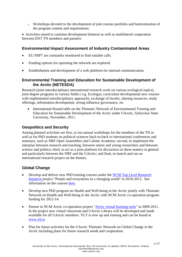o Workshops devoted to the development of join courses portfolio and harmonization of the program content and requirements

 Activities aimed to continue development bilateral as well as multilateral cooperation between ENT TN members and partners

# **Environmental Impact Assessment of Industry Contaminated Areas**

- EU FRP7 are constantly monitored to find suitable calls.
- Funding options for operating the network are explored.
- Establishment and development of a web platform for internal communication.

# **Environmental Training and Education for Sustainable Development of the Arctic (NETESDA)**

Research (joint interdisciplinary international research work on various ecological topics), joint degree programs in various fields ( e.g. Ecology), curriculum development( new courses with implemented interdisciplinary approach), exchange of faculty, sharing resources, study offerings, information development, strong influence governance, etc

 International Round table on the Thematic Network of Environmental Training and Education for Sustainable Development of the Arctic under UArctic, Syktyvkar State University, November, 2011.

# **Geopolitics and Security**

Among planned activities are first, to run annual workshops for the members of the TN as well as for PhD students on political sciences back-to-back to international conferences and seminars, such as NRF Open Assemblies and Calotte Academy; second, to implement the interplay between research and teaching, between senior and young researchers and between science and politics; third, to act as a joint platform for discussion on these matters in general and particularly between the NRF and the UArctic; and final, to launch and run an international research project on the themes.

# **Global Change**

- Develop and deliver new PhD training courses under the [NCM Top Level Research](http://www.uarctic.org/content/2249.link?TargetURL=http://www.toppforskningsinitiativet.org/en/programmer-1/program-1)  [Initiative p](http://www.uarctic.org/content/2249.link?TargetURL=http://www.toppforskningsinitiativet.org/en/programmer-1/program-1)roject "People and ecosystems in a changing world" in 2010-2012. See information on the courses [here.](http://www.uarctic.org/content/2992.link?TargetURL=http://www.uarctic.org/SingleArticle.aspx?m=1003&amid=10351)
- Develop new PhD program on Health and Well-being in the Arctic jointly with Thematic Network on Health and Well-being in the Arctic with NCM Arctic co-operation program funding for 2012-14.
- Partner in NCM Arctic co-operation project ["Arctic virtual learning tools"](http://www.uarctic.org/content/2248.link?TargetURL=http://www.arcticportal.org/vlt) in 2009-2011. In the project new virtual classroom and UArctic Library will be developed and made available for all UArctic members. VLT is now up and running and can be found at [www.vlt.is.](http://www.vlt.is/)
- Plan for future activities for the UArctic Thematic Network on Global Change in the Arctic including plans for future research needs and cooperation.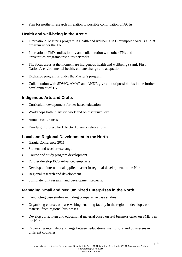• Plan for northern research in relation to possible continuation of ACIA.

# **Health and well-being in the Arctic**

- International Master's program in Health and wellbeing in Circumpolar Area is a joint program under the TN
- International PhD studies jointly and collaboration with other TNs and universities/programs/institutes/networks
- The focus areas at the moment are indigenous health and wellbeing (Sami, First Nations), environmental health, climate change and adaptation
- Exchange program is under the Master's program
- Collaboration with SDWG, AMAP and AHDR give a lot of possibilities in the further development of TN

# **Indigenous Arts and Crafts**

- Curriculum develpoment for net-based education
- Workshops both in artistic work and on discursive level
- Annual conferences
- Duodji gift project for UArctic 10 years celebrations

# **Local and Regional Development in the North**

- Gargia Conference 2011
- Student and teacher exchange
- Course and study program development
- Further develop BCS Advanced emphasis
- Develop an international applied master in regional development in the North
- Regional research and development
- Stimulate joint research and development projects.

# **Managing Small and Medium Sized Enterprises in the North**

- Conducting case studies including comparative case studies
- Organizing courses on case-writing, enabling faculty in the region to develop casematerial from regional businesses
- Develop curriculum and educational material based on real business cases on SME's in the North.
- Organizing internship exchange between educational institutions and businesses in different countries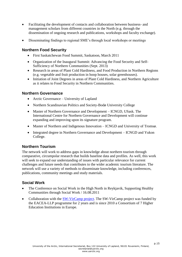- Facilitating the development of contacts and collaboration between business- and management scholars from different countries in the North (e.g. through the dissemination of ongoing research and publications, workshops and faculty exchange).
- Disseminating findings to regional SME's through local workshops or meetings

# **Northern Food Security**

- First Saskatchewan Food Summit, Saskatoon, March 2011
- Organization of the Inaugural Summit: Advancing the Food Security and Self-Sufficiency of Northern Communities (Sept. 2013)
- Research in areas of Plant Cold Hardiness, and Food Production in Northern Regions (e.g. vegetable and fruit production in hoop houses, solar greenhouses).
- Initiation of Joint Degrees in areas of Plant Cold Hardiness, and Northern Agriculture as it relates to Food Security in Northern Communities.

## **Northern Governance**

- Arctic Governance University of Lapland
- Northern Scandinavian Politics and Society-Bodø University College
- Master of Northern Governance and Development ICNGD, USask. The International Centre for Northern Governance and Development will continue expanding and improving upon its signature program.
- Master of Northern and Indigenous Innovation ICNGD and University of Tromsø.
- Integrated degree in Northern Governance and Development ICNGD and Yukon College.

# **Northern Tourism**

The network will work to address gaps in knowledge about northern tourism through comparative, circumpolar research that builds baseline data and profiles. As well, this work will seek to expand our understanding of issues with particular relevance for current challenges and future needs that contributes to the wider academic tourism literature. The network will use a variety of methods to disseminate knowledge, including conferences, publications, community meetings and study materials.

# **Social Work**

- The Conference on Social Work in the High North in Reykjavik, Supporting Healthy Communities through Social Work / 16.08.2011
- Collaboration with the [SW-VirCamp project.](http://www.uarctic.org/digimaker/content/2953.link) The SW-VirCamp project was funded by the EACEA-LLP programme for 2 years and is since 2010 a Consortium of 7 Higher Education Institutions in Europe.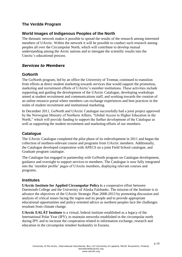# **The Verdde Program**

# **World Images of Indigenous Peoples of the North**

The thematic network makes it possible to spread the results of the research among interested members of UArctic. Within the network it will be possible to conduct such research among peoples all over the Circumpolar North, which will contribute to develop mutual understanding among the Arctic nations and to intergate the scientific results into the Uarctic's educational process.

# *Services to Members*

## **GoNorth**

The GoNorth program, led by an office the University of Tromsø, continued to transition from efforts at direct student marketing towards services that would support the promotion, marketing and recruitment efforts of UArctic's member institutions. These activities include supporting and guiding the development of the UArctic Catalogue, developing workshops aimed at student recruitment and communications staff, and working towards the creation of an online resource portal where members can exchange experiences and best practices in the realm of student recruitment and institutional marketing.

In December 2011, GoNorth and UArctic Catalogue successfully had a joint project approved by the Norwegian Ministry of Northern Affairs, "Global Access to Higher Education in the North," which will provide funding to support the further development of the Catalogue as well as supporting the student recruitment and marketing efforts of our members.

# **Catalogue**

The UArctic Catalogue completed the pilot phase of its redevelopment in 2011 and began the collection of northern-relevant course and programs from UArctic members. Additionally, the Catalogue developed cooperation with APECS on a joint Field School catalogue, and Graduate program catalogue.

The Catalogue has engaged in partnership with GoNorth program on Catalogue development, guidance and oversight to support services to members. The Catalogue is now fully integrated into the 'member profile' pages of UArctic members, displaying relevant courses and programs.

## **Institutes**

**UArctic Institute for Applied Circumpolar Policy i**s a cooperative effort between Dartmouth College and the University of Alaska Fairbanks. The mission of the Institute is to advance the objectives of the UArctic Strategic Plan 2008-2013 by promoting discussion and analysis of critical issues facing the region and its people and to provide appropriate educational opportunities and policy-oriented advice as northern peoples face the challenges resultant from climate change.

**UArctic EALÁT Institute** is a virtual, federal institute established as a legacy of the International Polar Year (IPY), to maintain networks established in the circumpolar north during IPY and to increase the cooperation related to information exchange, research and education in the circumpolar reindeer husbandry in Eurasia.